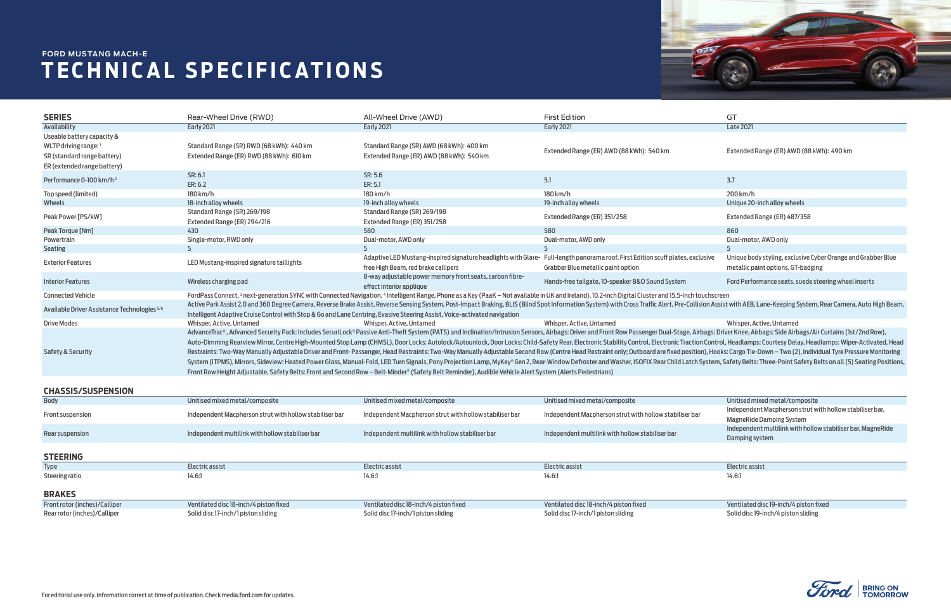

|    | Unitised mixed metal/composite                              |
|----|-------------------------------------------------------------|
| ιr | Independent Macpherson strut with hollow stabiliser bar,    |
|    | <b>MagneRide Damping System</b>                             |
|    | Independent multilink with hollow stabiliser bar, MagneRide |
|    | Damping system                                              |
|    |                                                             |
|    |                                                             |
|    | Electric assist                                             |
|    | 14.6:1                                                      |
|    |                                                             |
|    |                                                             |
|    | <i>Nontilated dice 10 jach 11</i> pictor fived              |



## **TECHNICAL SPECIFICATIONS FORD MUSTANG MACH-E**

Front rotor (inches)/Calliper Ventilated disc 18-inch/4 piston fixed Ventilated disc 18-inch/4 piston fixed Ventilated disc 18-inch/4 piston fixed Ventilated disc 19-inch/4 piston fixed Rear rotor (inches)/Calliper Solid disc 17-inch/1 piston sliding Solid disc 17-inch/1 piston sliding Solid disc 17-inch/1 piston sliding Solid disc 17-inch/1 piston sliding Solid disc 19-inch/4 piston sliding

| <b>SERIES</b>                                                           | Rear-Wheel Drive (RWD)                                                                                                                                                                                                         | All-Wheel Drive (AWD)                                    | <b>First Edition</b>                                                                                                                                                                                                           | GT                                                           |  |  |  |
|-------------------------------------------------------------------------|--------------------------------------------------------------------------------------------------------------------------------------------------------------------------------------------------------------------------------|----------------------------------------------------------|--------------------------------------------------------------------------------------------------------------------------------------------------------------------------------------------------------------------------------|--------------------------------------------------------------|--|--|--|
| Availability                                                            | <b>Early 2021</b>                                                                                                                                                                                                              | <b>Early 2021</b>                                        | <b>Early 2021</b>                                                                                                                                                                                                              | <b>Late 2021</b>                                             |  |  |  |
| Useable battery capacity &                                              |                                                                                                                                                                                                                                |                                                          |                                                                                                                                                                                                                                |                                                              |  |  |  |
| WLTP driving range: 1                                                   | Standard Range (SR) RWD (68 kWh): 440 km                                                                                                                                                                                       | Standard Range (SR) AWD (68 kWh): 400 km                 |                                                                                                                                                                                                                                |                                                              |  |  |  |
| Extended Range (ER) RWD (88 kWh): 610 km<br>SR (standard range battery) |                                                                                                                                                                                                                                | Extended Range (ER) AWD (88 kWh): 540 km                 | Extended Range (ER) AWD (88 kWh): 540 km                                                                                                                                                                                       | Extended Range (ER) AWD (88 kWh): 490 km                     |  |  |  |
| ER (extended range battery)                                             |                                                                                                                                                                                                                                |                                                          |                                                                                                                                                                                                                                |                                                              |  |  |  |
|                                                                         | SR: 6.1                                                                                                                                                                                                                        | SR: 5.6                                                  |                                                                                                                                                                                                                                |                                                              |  |  |  |
| Performance 0-100 km/h <sup>2</sup>                                     | ER: 6.2                                                                                                                                                                                                                        | ER: 5.1                                                  | 5.1                                                                                                                                                                                                                            | 3.7                                                          |  |  |  |
| Top speed (limited)                                                     | 180 km/h                                                                                                                                                                                                                       | 180 km/h                                                 | 180 km/h                                                                                                                                                                                                                       | 200 km/h                                                     |  |  |  |
| Wheels                                                                  | 18-inch alloy wheels                                                                                                                                                                                                           | 19-inch alloy wheels                                     | 19-inch alloy wheels                                                                                                                                                                                                           | Unique 20-inch alloy wheels                                  |  |  |  |
|                                                                         | Standard Range (SR) 269/198                                                                                                                                                                                                    | Standard Range (SR) 269/198                              |                                                                                                                                                                                                                                |                                                              |  |  |  |
| Peak Power [PS/kW]                                                      | Extended Range (ER) 294/216                                                                                                                                                                                                    | Extended Range (ER) 351/258                              | Extended Range (ER) 351/258                                                                                                                                                                                                    | Extended Range (ER) 487/358                                  |  |  |  |
| Peak Torque [Nm]                                                        | 430                                                                                                                                                                                                                            | 580                                                      | 580                                                                                                                                                                                                                            | 860                                                          |  |  |  |
| Powertrain                                                              | Single-motor, RWD only                                                                                                                                                                                                         | Dual-motor, AWD only                                     | Dual-motor, AWD only                                                                                                                                                                                                           | Dual-motor, AWD only                                         |  |  |  |
| <b>Seating</b>                                                          |                                                                                                                                                                                                                                |                                                          |                                                                                                                                                                                                                                |                                                              |  |  |  |
|                                                                         |                                                                                                                                                                                                                                |                                                          | Adaptive LED Mustang-inspired signature headlights with Glare- Full-length panorama roof, First Edition scuff plates, exclusive                                                                                                | Unique body styling, exclusive Cyber Orange and Grabber Blue |  |  |  |
| <b>Exterior Features</b>                                                | LED Mustang-inspired signature taillights                                                                                                                                                                                      | free High Beam, red brake callipers                      | Grabber Blue metallic paint option                                                                                                                                                                                             | metallic paint options, GT-badging                           |  |  |  |
|                                                                         | Wireless charging pad                                                                                                                                                                                                          | 8-way adjustable power memory front seats, carbon fibre- | Hands-free tailgate, 10-speaker B&O Sound System                                                                                                                                                                               | Ford Performance seats, suede steering wheel inserts         |  |  |  |
| <b>Interior Features</b>                                                |                                                                                                                                                                                                                                | effect interior applique                                 |                                                                                                                                                                                                                                |                                                              |  |  |  |
| <b>Connected Vehicle</b>                                                |                                                                                                                                                                                                                                |                                                          | FordPass Connect, <sup>3</sup> next-generation SYNC with Connected Navigation, <sup>4</sup> Intelligent Range, Phone as a Key (PaaK - Not available in UK and Ireland), 10.2-inch Digital Cluster and 15.5-inch touchscreen    |                                                              |  |  |  |
|                                                                         | Active Park Assist 2.0 and 360 Degree Camera, Reverse Brake Assist, Reverse Sensing System, Post-Impact Braking, BLIS (Blind Spot Information System) with Cross Traffic Alert, Pre-Collision Assist with AEB, Lane-Keeping Sy |                                                          |                                                                                                                                                                                                                                |                                                              |  |  |  |
| Available Driver Assistance Technologies <sup>5/6</sup>                 | Intelligent Adaptive Cruise Control with Stop & Go and Lane Centring, Evasive Steering Assist, Voice-activated navigation                                                                                                      |                                                          |                                                                                                                                                                                                                                |                                                              |  |  |  |
| <b>Drive Modes</b>                                                      | Whisper, Active, Untamed                                                                                                                                                                                                       | Whisper, Active, Untamed                                 | Whisper, Active, Untamed                                                                                                                                                                                                       | Whisper, Active, Untamed                                     |  |  |  |
|                                                                         |                                                                                                                                                                                                                                |                                                          | AdvanceTrac®, Advanced Security Pack: Includes SecuriLock® Passive Anti-Theft System (PATS) and Inclination/Intrusion Sensors, Airbags: Driver and Front Row Passenger Dual-Stage, Airbags: Driver Knee, Airbags: Side Airbags |                                                              |  |  |  |
|                                                                         | Auto-Dimming Rearview Mirror, Centre High-Mounted Stop Lamp (CHMSL), Door Locks: Autolock/Autounlock, Door Locks: Child-Safety Rear, Electronic Stability Control, Electronic Traction Control, Headlamps: Courtesy Delay, Hea |                                                          |                                                                                                                                                                                                                                |                                                              |  |  |  |
| <b>Safety &amp; Security</b>                                            | Restraints: Two-Way Manually Adjustable Driver and Front- Passenger, Head Restraints: Two-Way Manually Adjustable Second Row (Centre Head Restraint only; Outboard are fixed position), Hooks: Cargo Tie-Down - Two (2), Indiv |                                                          |                                                                                                                                                                                                                                |                                                              |  |  |  |
|                                                                         | System (iTPMS), Mirrors, Sideview: Heated Power Glass, Manual-Fold, LED Turn Signals, Pony Projection Lamp, MyKey® Gen 2, Rear-Window Defroster and Washer, ISOFIX Rear Child Latch System, Safety Belts: Three-Point Safety B |                                                          |                                                                                                                                                                                                                                |                                                              |  |  |  |
|                                                                         | Front Row Height Adjustable, Safety Belts: Front and Second Row – Belt-Minder® (Safety Belt Reminder), Audible Vehicle Alert System (Alerts Pedestrians)                                                                       |                                                          |                                                                                                                                                                                                                                |                                                              |  |  |  |
|                                                                         |                                                                                                                                                                                                                                |                                                          |                                                                                                                                                                                                                                |                                                              |  |  |  |
| <b>CHASSIS/SUSPENSION</b>                                               |                                                                                                                                                                                                                                |                                                          |                                                                                                                                                                                                                                |                                                              |  |  |  |
| <b>Body</b>                                                             | Unitised mixed metal/composite                                                                                                                                                                                                 | Unitised mixed metal/composite                           | Unitised mixed metal/composite                                                                                                                                                                                                 | Unitised mixed metal/composite                               |  |  |  |
|                                                                         |                                                                                                                                                                                                                                |                                                          |                                                                                                                                                                                                                                | Independent Macpherson strut with hollow stabiliser bar,     |  |  |  |
| Front suspension                                                        | Independent Macpherson strut with hollow stabiliser bar                                                                                                                                                                        | Independent Macpherson strut with hollow stabiliser bar  | Independent Macpherson strut with hollow stabiliser bar                                                                                                                                                                        | <b>MagneRide Damping System</b>                              |  |  |  |
|                                                                         |                                                                                                                                                                                                                                |                                                          |                                                                                                                                                                                                                                | Independent multilink with hollow stabiliser bar, MagneRide  |  |  |  |
| Rear suspension                                                         | Independent multilink with hollow stabiliser bar                                                                                                                                                                               | Independent multilink with hollow stabiliser bar         | Independent multilink with hollow stabiliser bar                                                                                                                                                                               | Damping system                                               |  |  |  |
|                                                                         |                                                                                                                                                                                                                                |                                                          |                                                                                                                                                                                                                                |                                                              |  |  |  |
| <b>STEERING</b>                                                         |                                                                                                                                                                                                                                |                                                          |                                                                                                                                                                                                                                |                                                              |  |  |  |
| <b>Type</b>                                                             | <b>Electric assist</b>                                                                                                                                                                                                         | <b>Electric assist</b>                                   | Electric assist                                                                                                                                                                                                                | Electric assist                                              |  |  |  |
| Steering ratio                                                          | 14.6:1                                                                                                                                                                                                                         | 14.6:1                                                   | 14.6:1                                                                                                                                                                                                                         | 14.6:1                                                       |  |  |  |
|                                                                         |                                                                                                                                                                                                                                |                                                          |                                                                                                                                                                                                                                |                                                              |  |  |  |
| <b>BRAKES</b>                                                           |                                                                                                                                                                                                                                |                                                          |                                                                                                                                                                                                                                |                                                              |  |  |  |
|                                                                         |                                                                                                                                                                                                                                |                                                          |                                                                                                                                                                                                                                |                                                              |  |  |  |